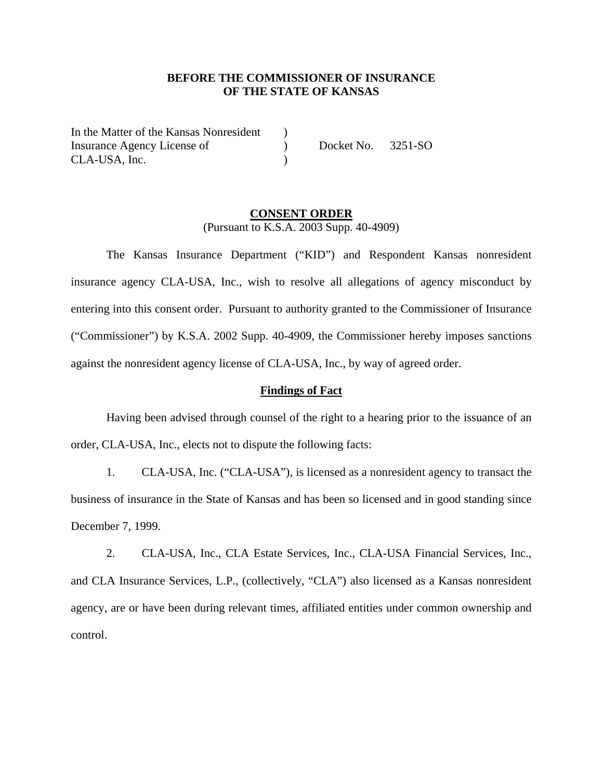# **BEFORE THE COMMISSIONER OF INSURANCE OF THE STATE OF KANSAS**

In the Matter of the Kansas Nonresident ) Insurance Agency License of  $Docket No. 3251-SO$ CLA-USA, Inc. (2012)

## **CONSENT ORDER** (Pursuant to K.S.A. 2003 Supp. 40-4909)

The Kansas Insurance Department ("KID") and Respondent Kansas nonresident insurance agency CLA-USA, Inc., wish to resolve all allegations of agency misconduct by entering into this consent order. Pursuant to authority granted to the Commissioner of Insurance ("Commissioner") by K.S.A. 2002 Supp. 40-4909, the Commissioner hereby imposes sanctions against the nonresident agency license of CLA-USA, Inc., by way of agreed order.

### **Findings of Fact**

Having been advised through counsel of the right to a hearing prior to the issuance of an order, CLA-USA, Inc., elects not to dispute the following facts:

1. CLA-USA, Inc. ("CLA-USA"), is licensed as a nonresident agency to transact the business of insurance in the State of Kansas and has been so licensed and in good standing since December 7, 1999.

2. CLA-USA, Inc., CLA Estate Services, Inc., CLA-USA Financial Services, Inc., and CLA Insurance Services, L.P., (collectively, "CLA") also licensed as a Kansas nonresident agency, are or have been during relevant times, affiliated entities under common ownership and control.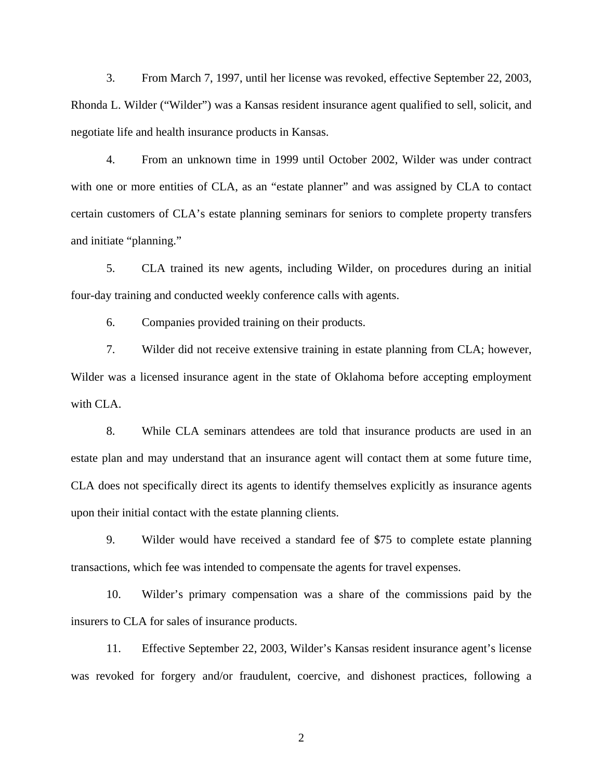3. From March 7, 1997, until her license was revoked, effective September 22, 2003, Rhonda L. Wilder ("Wilder") was a Kansas resident insurance agent qualified to sell, solicit, and negotiate life and health insurance products in Kansas.

4. From an unknown time in 1999 until October 2002, Wilder was under contract with one or more entities of CLA, as an "estate planner" and was assigned by CLA to contact certain customers of CLA's estate planning seminars for seniors to complete property transfers and initiate "planning."

5. CLA trained its new agents, including Wilder, on procedures during an initial four-day training and conducted weekly conference calls with agents.

6. Companies provided training on their products.

7. Wilder did not receive extensive training in estate planning from CLA; however, Wilder was a licensed insurance agent in the state of Oklahoma before accepting employment with CLA.

8. While CLA seminars attendees are told that insurance products are used in an estate plan and may understand that an insurance agent will contact them at some future time, CLA does not specifically direct its agents to identify themselves explicitly as insurance agents upon their initial contact with the estate planning clients.

9. Wilder would have received a standard fee of \$75 to complete estate planning transactions, which fee was intended to compensate the agents for travel expenses.

10. Wilder's primary compensation was a share of the commissions paid by the insurers to CLA for sales of insurance products.

11. Effective September 22, 2003, Wilder's Kansas resident insurance agent's license was revoked for forgery and/or fraudulent, coercive, and dishonest practices, following a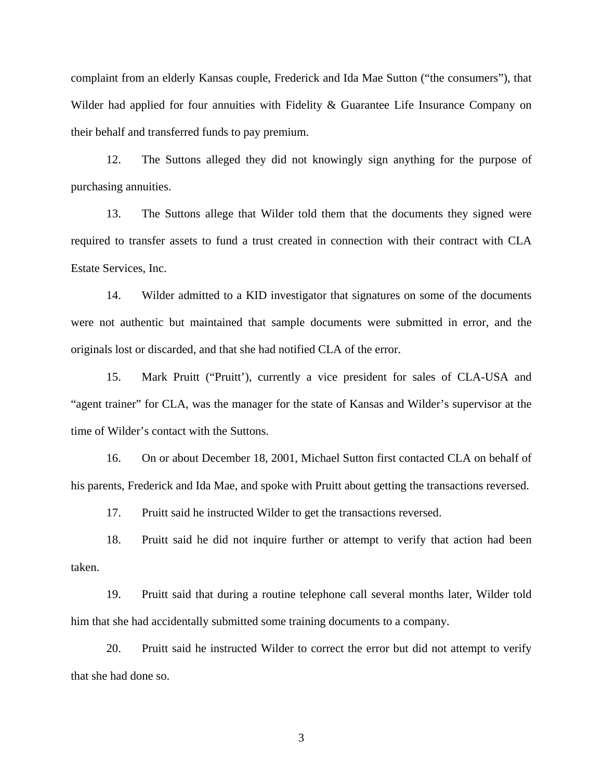complaint from an elderly Kansas couple, Frederick and Ida Mae Sutton ("the consumers"), that Wilder had applied for four annuities with Fidelity & Guarantee Life Insurance Company on their behalf and transferred funds to pay premium.

12. The Suttons alleged they did not knowingly sign anything for the purpose of purchasing annuities.

13. The Suttons allege that Wilder told them that the documents they signed were required to transfer assets to fund a trust created in connection with their contract with CLA Estate Services, Inc.

14. Wilder admitted to a KID investigator that signatures on some of the documents were not authentic but maintained that sample documents were submitted in error, and the originals lost or discarded, and that she had notified CLA of the error.

15. Mark Pruitt ("Pruitt'), currently a vice president for sales of CLA-USA and "agent trainer" for CLA, was the manager for the state of Kansas and Wilder's supervisor at the time of Wilder's contact with the Suttons.

16. On or about December 18, 2001, Michael Sutton first contacted CLA on behalf of his parents, Frederick and Ida Mae, and spoke with Pruitt about getting the transactions reversed.

17. Pruitt said he instructed Wilder to get the transactions reversed.

18. Pruitt said he did not inquire further or attempt to verify that action had been taken.

19. Pruitt said that during a routine telephone call several months later, Wilder told him that she had accidentally submitted some training documents to a company.

20. Pruitt said he instructed Wilder to correct the error but did not attempt to verify that she had done so.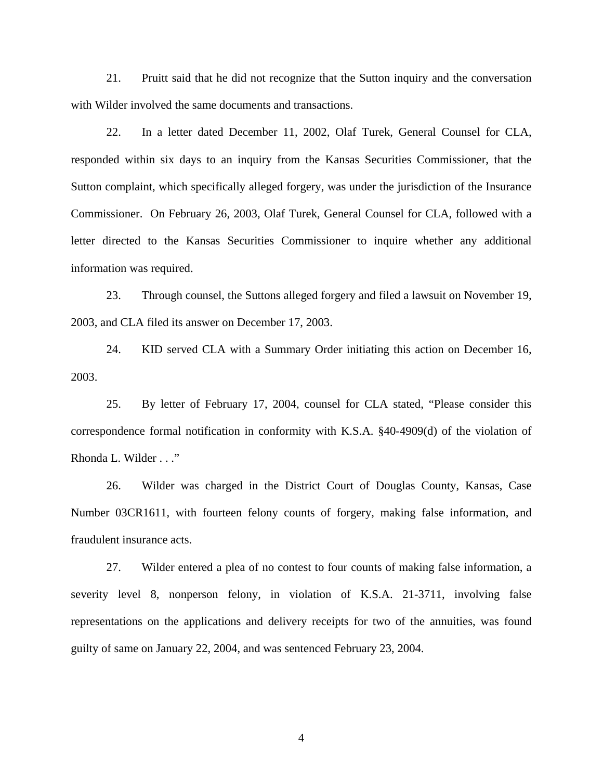21. Pruitt said that he did not recognize that the Sutton inquiry and the conversation with Wilder involved the same documents and transactions.

22. In a letter dated December 11, 2002, Olaf Turek, General Counsel for CLA, responded within six days to an inquiry from the Kansas Securities Commissioner, that the Sutton complaint, which specifically alleged forgery, was under the jurisdiction of the Insurance Commissioner. On February 26, 2003, Olaf Turek, General Counsel for CLA, followed with a letter directed to the Kansas Securities Commissioner to inquire whether any additional information was required.

23. Through counsel, the Suttons alleged forgery and filed a lawsuit on November 19, 2003, and CLA filed its answer on December 17, 2003.

24. KID served CLA with a Summary Order initiating this action on December 16, 2003.

25. By letter of February 17, 2004, counsel for CLA stated, "Please consider this correspondence formal notification in conformity with K.S.A. §40-4909(d) of the violation of Rhonda L. Wilder . . ."

26. Wilder was charged in the District Court of Douglas County, Kansas, Case Number 03CR1611, with fourteen felony counts of forgery, making false information, and fraudulent insurance acts.

27. Wilder entered a plea of no contest to four counts of making false information, a severity level 8, nonperson felony, in violation of K.S.A. 21-3711, involving false representations on the applications and delivery receipts for two of the annuities, was found guilty of same on January 22, 2004, and was sentenced February 23, 2004.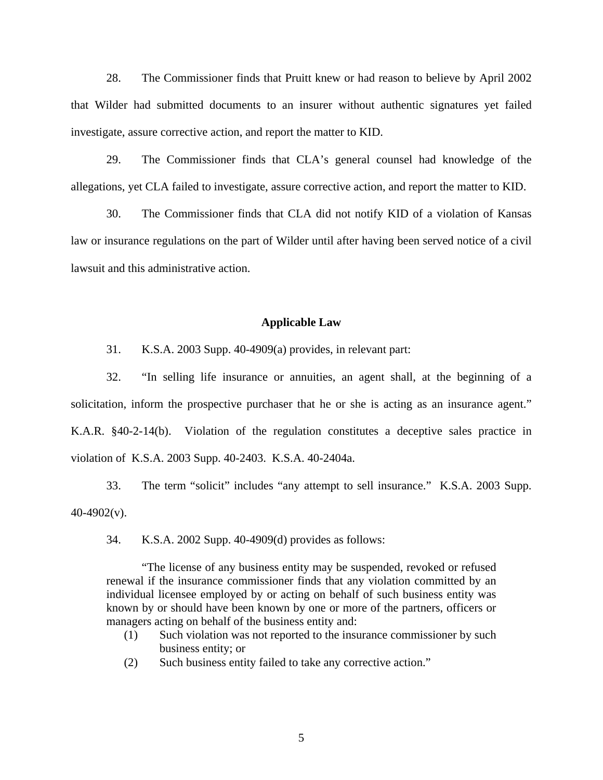28. The Commissioner finds that Pruitt knew or had reason to believe by April 2002 that Wilder had submitted documents to an insurer without authentic signatures yet failed investigate, assure corrective action, and report the matter to KID.

29. The Commissioner finds that CLA's general counsel had knowledge of the allegations, yet CLA failed to investigate, assure corrective action, and report the matter to KID.

30. The Commissioner finds that CLA did not notify KID of a violation of Kansas law or insurance regulations on the part of Wilder until after having been served notice of a civil lawsuit and this administrative action.

#### **Applicable Law**

31. K.S.A. 2003 Supp. 40-4909(a) provides, in relevant part:

32. "In selling life insurance or annuities, an agent shall, at the beginning of a solicitation, inform the prospective purchaser that he or she is acting as an insurance agent." K.A.R. §40-2-14(b). Violation of the regulation constitutes a deceptive sales practice in violation of K.S.A. 2003 Supp. 40-2403. K.S.A. 40-2404a.

33. The term "solicit" includes "any attempt to sell insurance." K.S.A. 2003 Supp.  $40-4902(v)$ .

34. K.S.A. 2002 Supp. 40-4909(d) provides as follows:

 "The license of any business entity may be suspended, revoked or refused renewal if the insurance commissioner finds that any violation committed by an individual licensee employed by or acting on behalf of such business entity was known by or should have been known by one or more of the partners, officers or managers acting on behalf of the business entity and:

- (1) Such violation was not reported to the insurance commissioner by such business entity; or
- (2) Such business entity failed to take any corrective action."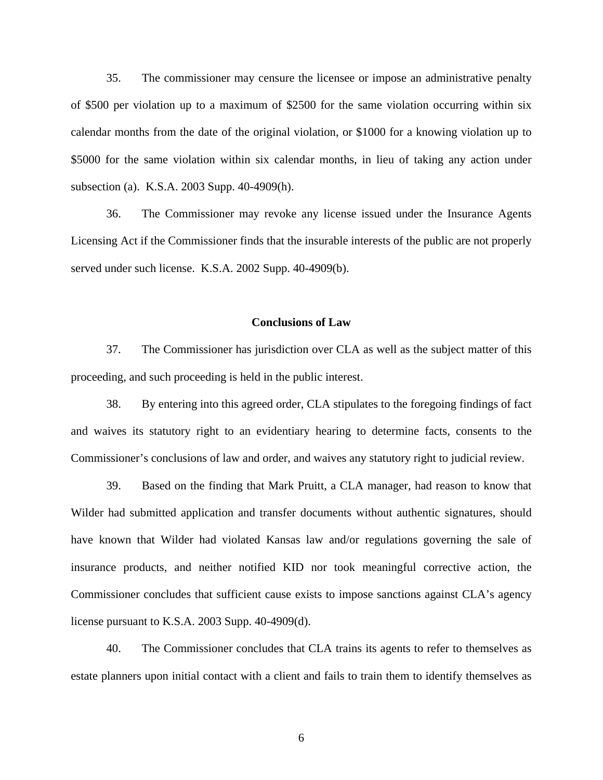35. The commissioner may censure the licensee or impose an administrative penalty of \$500 per violation up to a maximum of \$2500 for the same violation occurring within six calendar months from the date of the original violation, or \$1000 for a knowing violation up to \$5000 for the same violation within six calendar months, in lieu of taking any action under subsection (a). K.S.A. 2003 Supp. 40-4909(h).

36. The Commissioner may revoke any license issued under the Insurance Agents Licensing Act if the Commissioner finds that the insurable interests of the public are not properly served under such license. K.S.A. 2002 Supp. 40-4909(b).

#### **Conclusions of Law**

37. The Commissioner has jurisdiction over CLA as well as the subject matter of this proceeding, and such proceeding is held in the public interest.

38. By entering into this agreed order, CLA stipulates to the foregoing findings of fact and waives its statutory right to an evidentiary hearing to determine facts, consents to the Commissioner's conclusions of law and order, and waives any statutory right to judicial review.

39. Based on the finding that Mark Pruitt, a CLA manager, had reason to know that Wilder had submitted application and transfer documents without authentic signatures, should have known that Wilder had violated Kansas law and/or regulations governing the sale of insurance products, and neither notified KID nor took meaningful corrective action, the Commissioner concludes that sufficient cause exists to impose sanctions against CLA's agency license pursuant to K.S.A. 2003 Supp. 40-4909(d).

40. The Commissioner concludes that CLA trains its agents to refer to themselves as estate planners upon initial contact with a client and fails to train them to identify themselves as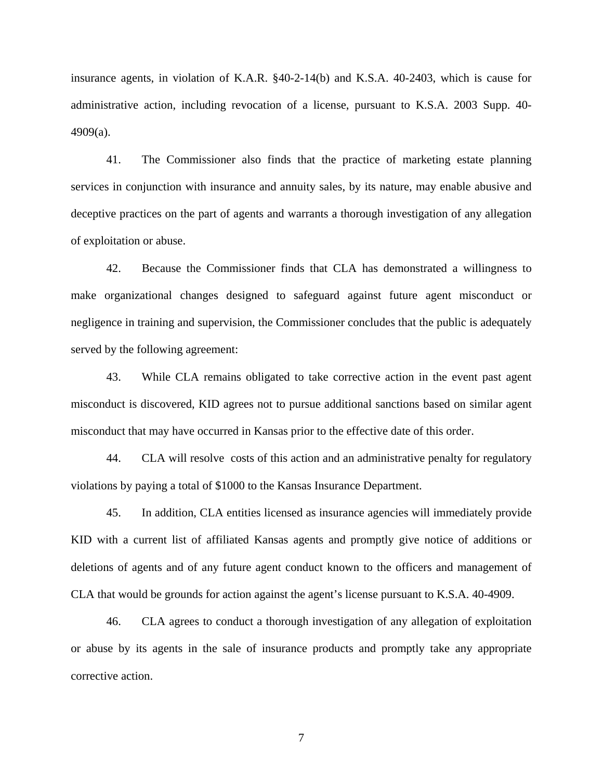insurance agents, in violation of K.A.R. §40-2-14(b) and K.S.A. 40-2403, which is cause for administrative action, including revocation of a license, pursuant to K.S.A. 2003 Supp. 40- 4909(a).

41. The Commissioner also finds that the practice of marketing estate planning services in conjunction with insurance and annuity sales, by its nature, may enable abusive and deceptive practices on the part of agents and warrants a thorough investigation of any allegation of exploitation or abuse.

42. Because the Commissioner finds that CLA has demonstrated a willingness to make organizational changes designed to safeguard against future agent misconduct or negligence in training and supervision, the Commissioner concludes that the public is adequately served by the following agreement:

43. While CLA remains obligated to take corrective action in the event past agent misconduct is discovered, KID agrees not to pursue additional sanctions based on similar agent misconduct that may have occurred in Kansas prior to the effective date of this order.

44. CLA will resolve costs of this action and an administrative penalty for regulatory violations by paying a total of \$1000 to the Kansas Insurance Department.

45. In addition, CLA entities licensed as insurance agencies will immediately provide KID with a current list of affiliated Kansas agents and promptly give notice of additions or deletions of agents and of any future agent conduct known to the officers and management of CLA that would be grounds for action against the agent's license pursuant to K.S.A. 40-4909.

46. CLA agrees to conduct a thorough investigation of any allegation of exploitation or abuse by its agents in the sale of insurance products and promptly take any appropriate corrective action.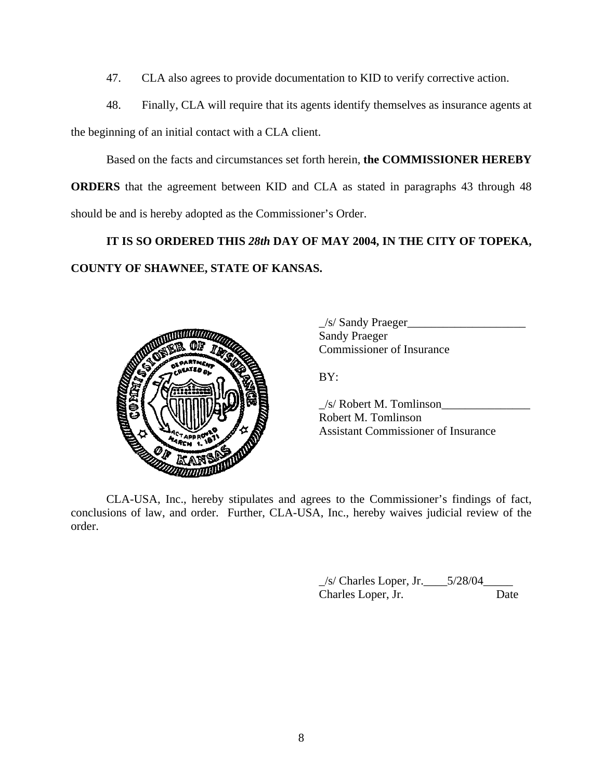- 47. CLA also agrees to provide documentation to KID to verify corrective action.
- 48. Finally, CLA will require that its agents identify themselves as insurance agents at

the beginning of an initial contact with a CLA client.

Based on the facts and circumstances set forth herein, **the COMMISSIONER HEREBY ORDERS** that the agreement between KID and CLA as stated in paragraphs 43 through 48 should be and is hereby adopted as the Commissioner's Order.

# **IT IS SO ORDERED THIS** *28th* **DAY OF MAY 2004, IN THE CITY OF TOPEKA, COUNTY OF SHAWNEE, STATE OF KANSAS.**



 $\angle$ /s/ Sandy Praeger $\angle$  Sandy Praeger Commissioner of Insurance

BY:

 $\angle$ s/ Robert M. Tomlinson Robert M. Tomlinson Assistant Commissioner of Insurance

 CLA-USA, Inc., hereby stipulates and agrees to the Commissioner's findings of fact, conclusions of law, and order. Further, CLA-USA, Inc., hereby waives judicial review of the order.

> $\frac{1}{s}$  Charles Loper, Jr.  $\frac{5}{28/04}$ Charles Loper, Jr. Date